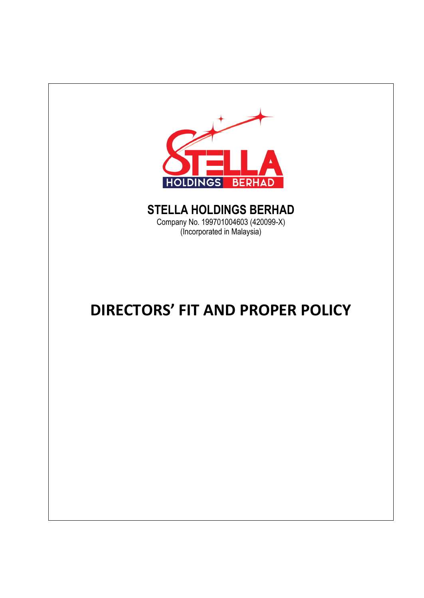

# **STELLA HOLDINGS BERHAD**

Company No. 199701004603 (420099-X) (Incorporated in Malaysia)

# **DIRECTORS' FIT AND PROPER POLICY**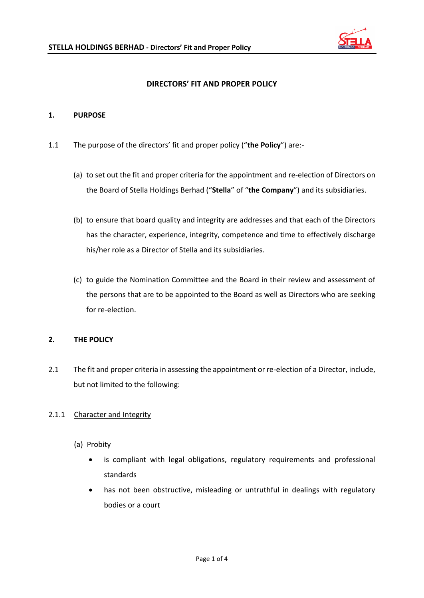

## **DIRECTORS' FIT AND PROPER POLICY**

#### **1. PURPOSE**

- 1.1 The purpose of the directors' fit and proper policy ("**the Policy**") are:-
	- (a) to set out the fit and proper criteria for the appointment and re-election of Directors on the Board of Stella Holdings Berhad ("**Stella**" of "**the Company**") and its subsidiaries.
	- (b) to ensure that board quality and integrity are addresses and that each of the Directors has the character, experience, integrity, competence and time to effectively discharge his/her role as a Director of Stella and its subsidiaries.
	- (c) to guide the Nomination Committee and the Board in their review and assessment of the persons that are to be appointed to the Board as well as Directors who are seeking for re-election.

### **2. THE POLICY**

2.1 The fit and proper criteria in assessing the appointment or re-election of a Director, include, but not limited to the following:

### 2.1.1 Character and Integrity

- (a) Probity
	- is compliant with legal obligations, regulatory requirements and professional standards
	- has not been obstructive, misleading or untruthful in dealings with regulatory bodies or a court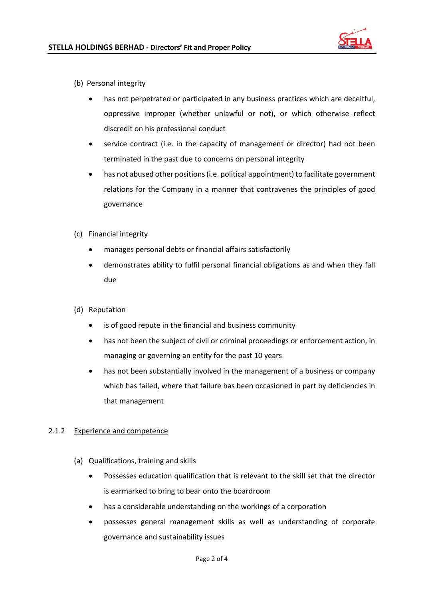

- (b) Personal integrity
	- has not perpetrated or participated in any business practices which are deceitful, oppressive improper (whether unlawful or not), or which otherwise reflect discredit on his professional conduct
	- service contract (i.e. in the capacity of management or director) had not been terminated in the past due to concerns on personal integrity
	- has not abused other positions (i.e. political appointment) to facilitate government relations for the Company in a manner that contravenes the principles of good governance
- (c) Financial integrity
	- manages personal debts or financial affairs satisfactorily
	- demonstrates ability to fulfil personal financial obligations as and when they fall due
- (d) Reputation
	- is of good repute in the financial and business community
	- has not been the subject of civil or criminal proceedings or enforcement action, in managing or governing an entity for the past 10 years
	- has not been substantially involved in the management of a business or company which has failed, where that failure has been occasioned in part by deficiencies in that management

### 2.1.2 Experience and competence

- (a) Qualifications, training and skills
	- Possesses education qualification that is relevant to the skill set that the director is earmarked to bring to bear onto the boardroom
	- has a considerable understanding on the workings of a corporation
	- possesses general management skills as well as understanding of corporate governance and sustainability issues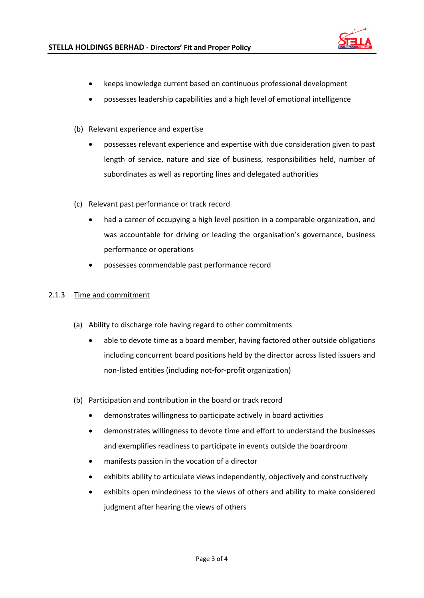

- keeps knowledge current based on continuous professional development
- possesses leadership capabilities and a high level of emotional intelligence
- (b) Relevant experience and expertise
	- possesses relevant experience and expertise with due consideration given to past length of service, nature and size of business, responsibilities held, number of subordinates as well as reporting lines and delegated authorities
- (c) Relevant past performance or track record
	- had a career of occupying a high level position in a comparable organization, and was accountable for driving or leading the organisation's governance, business performance or operations
	- possesses commendable past performance record

#### 2.1.3 Time and commitment

- (a) Ability to discharge role having regard to other commitments
	- able to devote time as a board member, having factored other outside obligations including concurrent board positions held by the director across listed issuers and non-listed entities (including not-for-profit organization)
- (b) Participation and contribution in the board or track record
	- demonstrates willingness to participate actively in board activities
	- demonstrates willingness to devote time and effort to understand the businesses and exemplifies readiness to participate in events outside the boardroom
	- manifests passion in the vocation of a director
	- exhibits ability to articulate views independently, objectively and constructively
	- exhibits open mindedness to the views of others and ability to make considered judgment after hearing the views of others